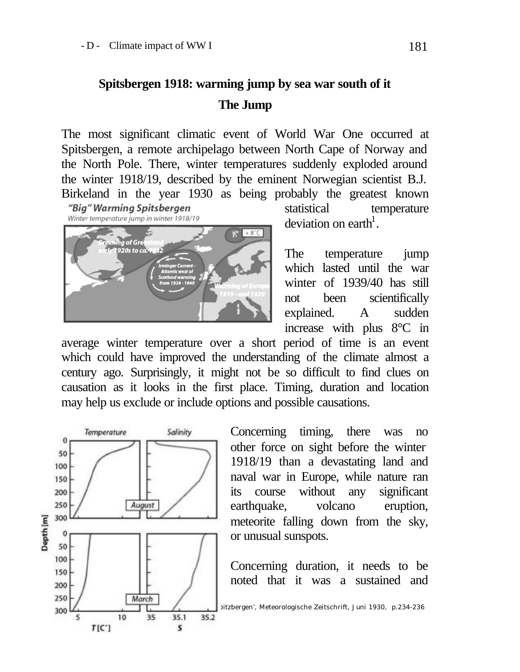## **Spitsbergen 1918: warming jump by sea war south of it The Jump**

The most significant climatic event of World War One occurred at Spitsbergen, a remote archipelago between North Cape of Norway and the North Pole. There, winter temperatures suddenly exploded around the winter 1918/19, described by the eminent Norwegian scientist B.J. Birkeland in the year 1930 as being probably the greatest known



statistical temperature deviation on earth<sup>1</sup>.

The temperature jump which lasted until the war winter of 1939/40 has still not been scientifically explained. A sudden increase with plus 8°C in

average winter temperature over a short period of time is an event which could have improved the understanding of the climate almost a century ago. Surprisingly, it might not be so difficult to find clues on causation as it looks in the first place. Timing, duration and location may help us exclude or include options and possible causations.



Concerning timing, there was no other force on sight before the winter 1918/19 than a devastating land and naval war in Europe, while nature ran its course without any significant earthquake, volcano eruption, meteorite falling down from the sky, or unusual sunspots.

Concerning duration, it needs to be noted that it was a sustained and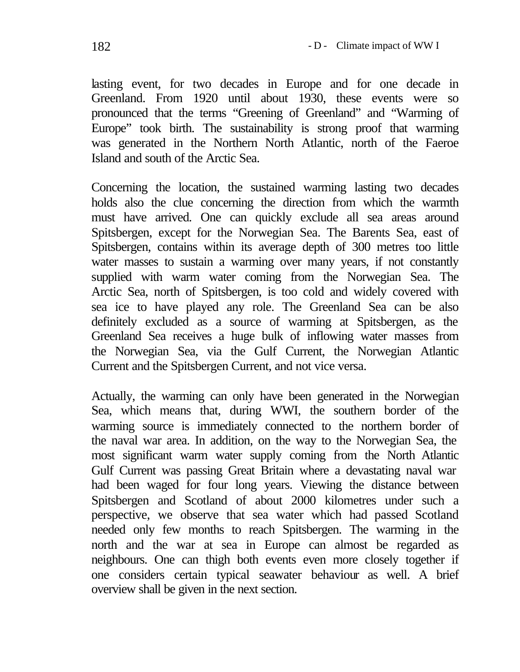lasting event, for two decades in Europe and for one decade in Greenland. From 1920 until about 1930, these events were so pronounced that the terms "Greening of Greenland" and "Warming of Europe" took birth. The sustainability is strong proof that warming was generated in the Northern North Atlantic, north of the Faeroe Island and south of the Arctic Sea.

Concerning the location, the sustained warming lasting two decades holds also the clue concerning the direction from which the warmth must have arrived. One can quickly exclude all sea areas around Spitsbergen, except for the Norwegian Sea. The Barents Sea, east of Spitsbergen, contains within its average depth of 300 metres too little water masses to sustain a warming over many years, if not constantly supplied with warm water coming from the Norwegian Sea. The Arctic Sea, north of Spitsbergen, is too cold and widely covered with sea ice to have played any role. The Greenland Sea can be also definitely excluded as a source of warming at Spitsbergen, as the Greenland Sea receives a huge bulk of inflowing water masses from the Norwegian Sea, via the Gulf Current, the Norwegian Atlantic Current and the Spitsbergen Current, and not vice versa.

Actually, the warming can only have been generated in the Norwegian Sea, which means that, during WWI, the southern border of the warming source is immediately connected to the northern border of the naval war area. In addition, on the way to the Norwegian Sea, the most significant warm water supply coming from the North Atlantic Gulf Current was passing Great Britain where a devastating naval war had been waged for four long years. Viewing the distance between Spitsbergen and Scotland of about 2000 kilometres under such a perspective, we observe that sea water which had passed Scotland needed only few months to reach Spitsbergen. The warming in the north and the war at sea in Europe can almost be regarded as neighbours. One can thigh both events even more closely together if one considers certain typical seawater behaviour as well. A brief overview shall be given in the next section.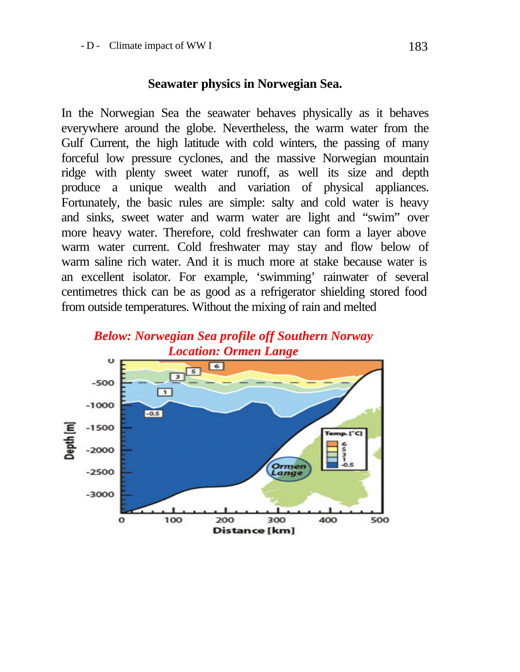## **Seawater physics in Norwegian Sea.**

In the Norwegian Sea the seawater behaves physically as it behaves everywhere around the globe. Nevertheless, the warm water from the Gulf Current, the high latitude with cold winters, the passing of many forceful low pressure cyclones, and the massive Norwegian mountain ridge with plenty sweet water runoff, as well its size and depth produce a unique wealth and variation of physical appliances. Fortunately, the basic rules are simple: salty and cold water is heavy and sinks, sweet water and warm water are light and "swim" over more heavy water. Therefore, cold freshwater can form a layer above warm water current. Cold freshwater may stay and flow below of warm saline rich water. And it is much more at stake because water is an excellent isolator. For example, 'swimming' rainwater of several centimetres thick can be as good as a refrigerator shielding stored food from outside temperatures. Without the mixing of rain and melted

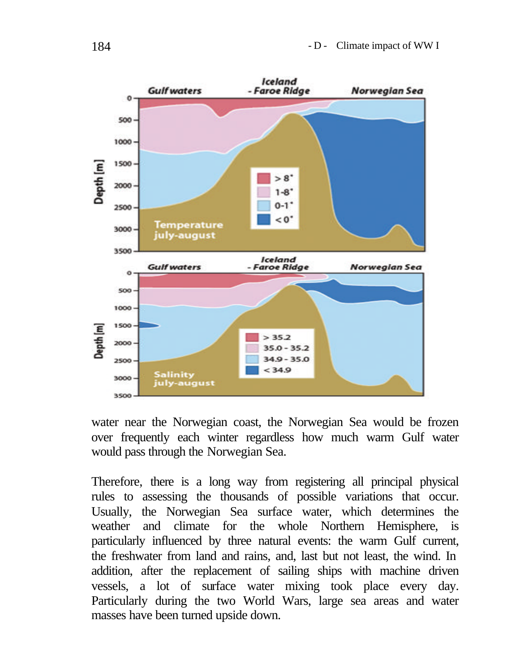

water near the Norwegian coast, the Norwegian Sea would be frozen over frequently each winter regardless how much warm Gulf water would pass through the Norwegian Sea.

Therefore, there is a long way from registering all principal physical rules to assessing the thousands of possible variations that occur. Usually, the Norwegian Sea surface water, which determines the weather and climate for the whole Northern Hemisphere, is particularly influenced by three natural events: the warm Gulf current, the freshwater from land and rains, and, last but not least, the wind. In addition, after the replacement of sailing ships with machine driven vessels, a lot of surface water mixing took place every day. Particularly during the two World Wars, large sea areas and water masses have been turned upside down.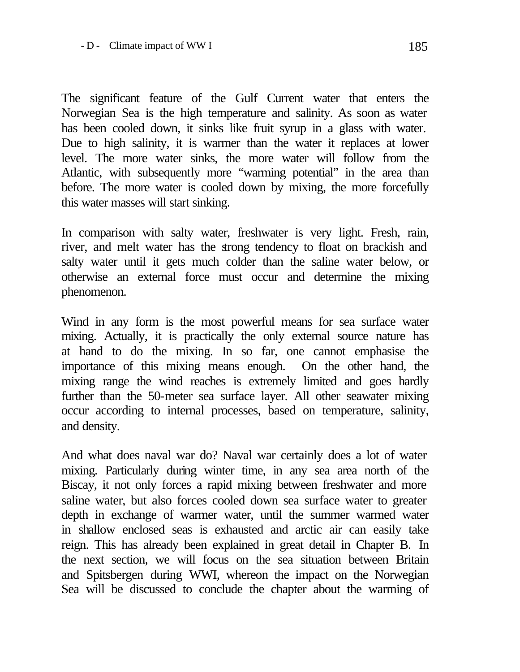The significant feature of the Gulf Current water that enters the Norwegian Sea is the high temperature and salinity. As soon as water has been cooled down, it sinks like fruit syrup in a glass with water. Due to high salinity, it is warmer than the water it replaces at lower level. The more water sinks, the more water will follow from the Atlantic, with subsequently more "warming potential" in the area than before. The more water is cooled down by mixing, the more forcefully this water masses will start sinking.

In comparison with salty water, freshwater is very light. Fresh, rain, river, and melt water has the strong tendency to float on brackish and salty water until it gets much colder than the saline water below, or otherwise an external force must occur and determine the mixing phenomenon.

Wind in any form is the most powerful means for sea surface water mixing. Actually, it is practically the only external source nature has at hand to do the mixing. In so far, one cannot emphasise the importance of this mixing means enough. On the other hand, the mixing range the wind reaches is extremely limited and goes hardly further than the 50-meter sea surface layer. All other seawater mixing occur according to internal processes, based on temperature, salinity, and density.

And what does naval war do? Naval war certainly does a lot of water mixing. Particularly during winter time, in any sea area north of the Biscay, it not only forces a rapid mixing between freshwater and more saline water, but also forces cooled down sea surface water to greater depth in exchange of warmer water, until the summer warmed water in shallow enclosed seas is exhausted and arctic air can easily take reign. This has already been explained in great detail in Chapter B. In the next section, we will focus on the sea situation between Britain and Spitsbergen during WWI, whereon the impact on the Norwegian Sea will be discussed to conclude the chapter about the warming of